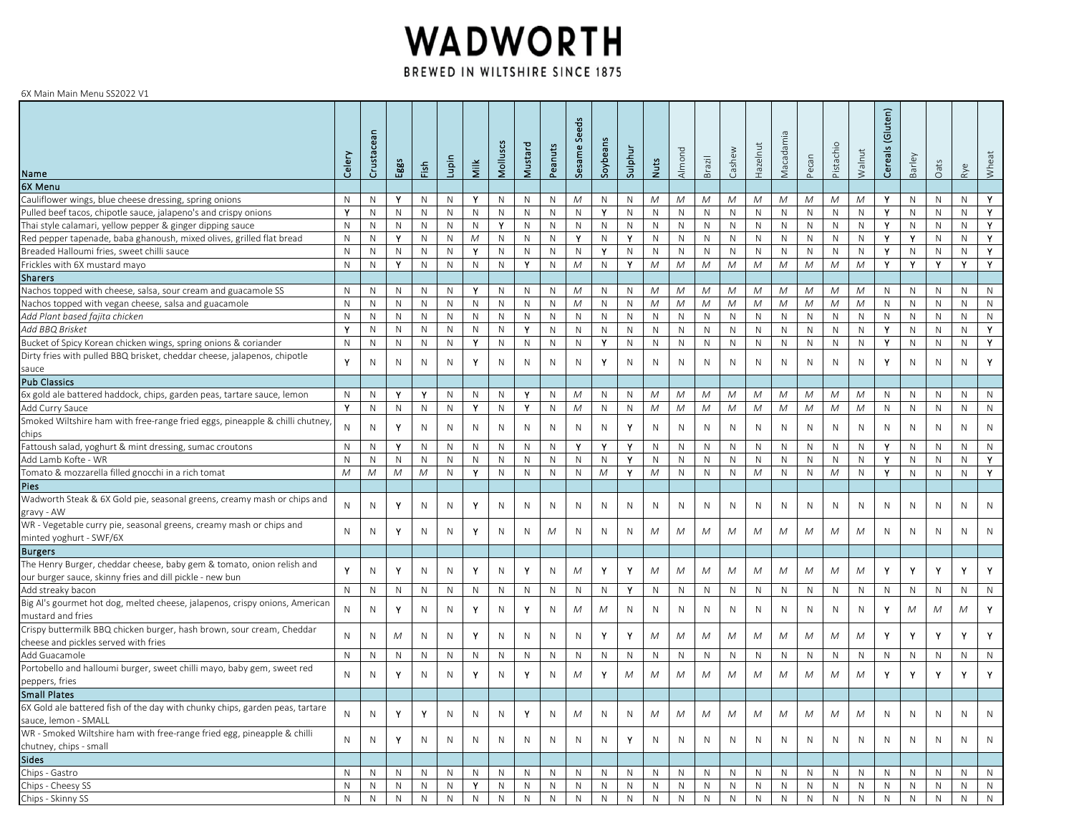## WADWORTH BREWED IN WILTSHIRE SINCE 1875

## 6X Main Main Menu SS2022 V1

| Name                                                                                                                              | Celery      | Crustacean   | Eggs         | Fish         | Lupin        | Milk           | Molluscs         | Mustard      | Peanuts      | <b>Seeds</b><br>Sesame | Soybea       | Sulphu       | <b>Nuts</b>     | Almond       | Brazil       | Cashew       | Hazelnut     | $\sigma$<br>Vlacadami | Pecan        | Pistachi     | Walnut       | (Gluten)<br>$\overline{a}$<br>Cereal | <b>Barley</b> | Oats              | Rye          | Wheat |
|-----------------------------------------------------------------------------------------------------------------------------------|-------------|--------------|--------------|--------------|--------------|----------------|------------------|--------------|--------------|------------------------|--------------|--------------|-----------------|--------------|--------------|--------------|--------------|-----------------------|--------------|--------------|--------------|--------------------------------------|---------------|-------------------|--------------|-------|
| 6X Menu                                                                                                                           |             |              |              |              |              |                |                  |              |              |                        |              |              |                 |              |              |              |              |                       |              |              |              |                                      |               |                   |              |       |
| Cauliflower wings, blue cheese dressing, spring onions                                                                            | N           | N            | Y            | N            | $\mathsf{N}$ | Y              | $\mathsf{N}$     | $\mathsf{N}$ | $\mathbb{N}$ | $\mathcal M$           | $\mathsf{N}$ | $\mathsf{N}$ | ${\cal M}$      | ${\cal M}$   | M            | M            | M            | Μ                     | М            | M            | M            | Y.                                   | N.            | N                 | N            | Y.    |
| Pulled beef tacos, chipotle sauce, jalapeno's and crispy onions                                                                   | Υ           | N            | N            | $\mathsf{N}$ | $\mathsf{N}$ | ${\sf N}$      | $\mathsf{N}$     | N            | $\mathsf{N}$ | $\mathsf{N}$           | Y            | $\mathsf{N}$ | $\mathsf{N}$    | ${\sf N}$    | $\mathsf{N}$ | $\mathsf{N}$ | N            | $\mathsf{N}$          | N            | $\mathsf{N}$ | N            | Y                                    | N             | N                 | N            | Y     |
| Thai style calamari, yellow pepper & ginger dipping sauce                                                                         | $\mathsf N$ | $\mathsf{N}$ | N            | N            | $\mathsf N$  | $\mathsf{N}$   | Y                | $\mathsf N$  | $\mathsf{N}$ | $\mathsf{N}$           | $\mathsf{N}$ | $\mathsf{N}$ | $\mathsf{N}$    | ${\sf N}$    | $\mathsf{N}$ | N            | $\mathsf{N}$ | $\mathsf{N}$          | $\mathsf{N}$ | $\mathsf{N}$ | $\mathsf{N}$ | Y                                    | ${\sf N}$     | $\mathsf{N}$      | N            | Y     |
| Red pepper tapenade, baba ghanoush, mixed olives, grilled flat bread                                                              | N           | N            | Υ            | N            | N            | M              | N                | ${\sf N}$    | $\mathsf{N}$ | Y                      | $\mathsf{N}$ | Y            | N               | $\mathsf{N}$ | N            | $\mathsf{N}$ | N            | N                     | N            | N            | N            | Y.                                   | Y             | N                 | N.           | Y.    |
| Breaded Halloumi fries, sweet chilli sauce                                                                                        | $\mathsf N$ | $\mathsf{N}$ | N            | $\mathsf{N}$ | $\mathsf{N}$ | Y              | $\mathsf{N}$     | $\mathsf{N}$ | $\,N\,$      | N                      | Y            | $\mathsf{N}$ | $\mathsf{N}$    | ${\sf N}$    | $\mathsf{N}$ | $\mathsf N$  | $\mathsf{N}$ | $\mathsf{N}$          | $\mathsf{N}$ | $\mathsf{N}$ | N            | Y                                    | N             | $\mathsf{N}$      | N            | Y     |
| Frickles with 6X mustard mayo                                                                                                     | N           | $\mathsf{N}$ | Y            | N            | $\mathsf{N}$ | $\mathsf{N}$   | $\mathsf{N}$     | Y            | $\,N\,$      | $\mathcal M$           | N            | Y            | M               | $\mathcal M$ | $\cal M$     | $\cal M$     | M            | M                     | M            | M            | M            | Y.                                   | Y.            | Y                 | Y            | Y     |
| <b>Sharers</b>                                                                                                                    |             |              |              |              |              |                |                  |              |              |                        |              |              |                 |              |              |              |              |                       |              |              |              |                                      |               |                   |              |       |
| Nachos topped with cheese, salsa, sour cream and guacamole SS                                                                     | N           | N            | N            | N            | $\mathsf{N}$ | Y              | $\mathsf{N}$     | N            | $\mathbb N$  | M                      | $\mathsf{N}$ | N            | M               | M            | M            | M            | M            | M                     | M            | M            | M            | N                                    | N             | N                 | N            | N     |
|                                                                                                                                   | N           | N            | N            | N            | N            | $\mathsf{N}$   | N                | $\mathsf{N}$ | $\mathbb{N}$ | $\mathcal M$           | N            | ${\sf N}$    | ${\cal M}$      | ${\cal M}$   | ${\cal M}$   | ${\cal M}$   | M            | М                     | М            | M            | M            | $\mathsf{N}$                         | N             | N                 | N            | N     |
| Nachos topped with vegan cheese, salsa and guacamole<br>Add Plant based fajita chicken                                            | $\mathsf N$ | N            | N            | N            | $\mathsf{N}$ | N              | $\mathsf N$      | $\mathsf{N}$ | $\mathsf{N}$ | N                      | $\mathsf{N}$ | N            | N               | N            | N            | $\mathsf{N}$ | N            | N                     | N            | N            | N            | N                                    | N             | N                 | N.           | N     |
| Add BBQ Brisket                                                                                                                   | Y           | N            | $\mathsf{N}$ | $\mathbb N$  |              |                | $\mathsf{N}$     | Y            | $\mathsf{N}$ | N                      |              |              |                 |              |              |              |              |                       |              | $\mathsf{N}$ |              | Y                                    | N.            | $\mathsf{N}$      | N            | Y     |
|                                                                                                                                   |             |              |              |              | ${\sf N}$    | ${\sf N}$<br>Y |                  |              |              |                        | $\mathsf{N}$ | ${\sf N}$    | ${\sf N}$       | ${\sf N}$    | ${\sf N}$    | ${\sf N}$    | ${\sf N}$    | $\mathsf{N}$          | ${\sf N}$    |              | N            | Y                                    |               |                   |              |       |
| Bucket of Spicy Korean chicken wings, spring onions & coriander                                                                   | N           | N            | N            | N            | N            |                | $\mathsf{N}$     | N            | $\mathbb N$  | N                      | Y            | N            | N               | $\mathsf{N}$ | N            | N            | N            | N                     | N            | $\mathsf{N}$ | N            |                                      | N             | N                 | N            | Y     |
| Dirty fries with pulled BBQ brisket, cheddar cheese, jalapenos, chipotle                                                          | Υ           | $\mathsf{N}$ | $\mathsf{N}$ | $\mathsf{N}$ | $\mathsf{N}$ | Y              | ${\sf N}$        | $\mathsf{N}$ | $\mathsf{N}$ | $\mathsf{N}$           | Y            | $\mathsf{N}$ | $\mathsf{N}$    | ${\sf N}$    | $\mathsf N$  | $\mathsf{N}$ | $\mathsf{N}$ | ${\sf N}$             | $\mathsf{N}$ | $\mathsf{N}$ | N            | Y                                    | N             | N                 | $\mathsf{N}$ | Y     |
| sauce                                                                                                                             |             |              |              |              |              |                |                  |              |              |                        |              |              |                 |              |              |              |              |                       |              |              |              |                                      |               |                   |              |       |
| <b>Pub Classics</b>                                                                                                               |             |              |              |              |              |                |                  |              |              |                        |              |              |                 |              |              |              |              |                       |              |              |              |                                      |               |                   |              |       |
| 6x gold ale battered haddock, chips, garden peas, tartare sauce, lemon                                                            | N<br>Y      | N            | Y<br>N       | Y<br>N       | ${\sf N}$    | N<br>Y         | N<br>$\mathsf N$ | Υ<br>Y       | $\mathbb N$  | M                      | $\mathsf{N}$ | N            | M<br>${\cal M}$ | M            | M            | M            | M            | M                     | M            | M            | M            | N                                    | $\mathsf{N}$  | N<br>$\mathsf{N}$ | N            | N     |
| Add Curry Sauce                                                                                                                   |             | $\mathsf{N}$ |              |              | $\mathsf{N}$ |                |                  |              | $\,N\,$      | ${\cal M}$             | N            | $\mathsf{N}$ |                 | ${\cal M}$   | $\cal M$     | $\cal M$     | M            | M                     | M            | M            | M            | $\mathsf{N}$                         | $\mathsf{N}$  |                   | N            | N     |
| Smoked Wiltshire ham with free-range fried eggs, pineapple & chilli chutney,                                                      | ${\sf N}$   | N            | Y            | $\mathsf{N}$ | ${\sf N}$    | N              | N                | N            | $\,N\,$      | $\mathsf{N}$           | N            | Y            | N               | $\mathsf{N}$ | N            | $\mathsf{N}$ | N            | ${\sf N}$             | N            | N            | N            | N                                    | N             | N                 | N            | N     |
| chips                                                                                                                             |             |              |              |              |              |                |                  |              |              |                        |              |              |                 |              |              |              |              |                       |              |              |              |                                      |               |                   |              |       |
| Fattoush salad, yoghurt & mint dressing, sumac croutons                                                                           | N           | N            | Y.           | N            | ${\sf N}$    | N              | N                | ${\sf N}$    | $\mathbb N$  | Y                      | Y            | Y            | N               | ${\sf N}$    | N            | $\mathbb N$  | N            | N                     | N            | N            | N            | Y                                    | $\mathsf{N}$  | N                 | N            | N     |
| Add Lamb Kofte - WR                                                                                                               | ${\sf N}$   | $\mathsf{N}$ | N            | $\mathsf{N}$ | $\mathsf{N}$ | $\mathsf{N}$   | N                | N            | $\mathsf{N}$ | $\mathsf{N}$           | $\mathsf{N}$ | Y            | $\mathsf{N}$    | $\mathsf{N}$ | $\mathsf{N}$ | N            | ${\sf N}$    | N                     | ${\sf N}$    | $\mathsf{N}$ | $\mathsf{N}$ | Y                                    | N             | N                 | N            | Y     |
| Tomato & mozzarella filled gnocchi in a rich tomat                                                                                | M           | M            | $\cal M$     | M            | N            | Y              | $\mathsf{N}$     | ${\sf N}$    | $\mathbb N$  | N                      | M            | Y            | M               | $\mathsf N$  | N            | $\mathbb N$  | M            | N                     | N            | M            | N            | Y.                                   | N             | N                 | N            | Y.    |
| <b>Pies</b>                                                                                                                       |             |              |              |              |              |                |                  |              |              |                        |              |              |                 |              |              |              |              |                       |              |              |              |                                      |               |                   |              |       |
| Wadworth Steak & 6X Gold pie, seasonal greens, creamy mash or chips and<br>gravy - AW                                             | N           | ${\sf N}$    | Υ            | $\mathsf{N}$ | $\mathsf{N}$ | Y              | $\hbox{N}$       | N            | N            | N                      | N            | ${\sf N}$    | N               | ${\sf N}$    | ${\sf N}$    | ${\sf N}$    | $\mathsf{N}$ | $\mathsf{N}$          | ${\sf N}$    | $\mathsf{N}$ | N            | N                                    | N             | N                 | N            | N     |
| WR - Vegetable curry pie, seasonal greens, creamy mash or chips and<br>minted yoghurt - SWF/6X                                    | N           | N            | Υ            | N            | ${\sf N}$    | Y              | N                | ${\sf N}$    | M            | N                      | N            | N            | M               | M            | M            | М            | M            | M                     | M            | M            | M            | N                                    | N             | N                 | N            | N     |
| <b>Burgers</b>                                                                                                                    |             |              |              |              |              |                |                  |              |              |                        |              |              |                 |              |              |              |              |                       |              |              |              |                                      |               |                   |              |       |
| The Henry Burger, cheddar cheese, baby gem & tomato, onion relish and<br>our burger sauce, skinny fries and dill pickle - new bun | Y           | N            | Y            | $\mathsf{N}$ | ${\sf N}$    | Y              | $\mathsf{N}$     | Y            | $\,N\,$      | M                      | Y            | Y            | M               | M            | M            | M            | M            | M                     | M            | M            | M            | Y                                    | Y             | Y                 | Y            | Y     |
| Add streaky bacon                                                                                                                 | N           | ${\sf N}$    | N            | N            | ${\sf N}$    | $\mathsf{N}$   | ${\sf N}$        | ${\sf N}$    | ${\sf N}$    | ${\sf N}$              | N            | Y            | $\mathsf{N}$    | ${\sf N}$    | $\mathsf{N}$ | N            | ${\sf N}$    | $\mathsf{N}$          | $\mathsf{N}$ | $\mathsf{N}$ | $\mathsf{N}$ | ${\sf N}$                            | $\mathsf{N}$  | $\mathsf{N}$      | N            | N     |
| Big Al's gourmet hot dog, melted cheese, jalapenos, crispy onions, American                                                       |             |              |              |              |              |                |                  |              |              |                        |              |              |                 |              |              |              |              |                       |              |              |              |                                      |               |                   |              |       |
| mustard and fries                                                                                                                 | N           | N            | Y            | N            | ${\sf N}$    | Y              | N                | Y            | $\,N\,$      | M                      | M            | N            | N               | N            | N            | N            | N            | ${\sf N}$             | N            | N            | N            | Y                                    | M             | M                 | M            | Y     |
| Crispy buttermilk BBQ chicken burger, hash brown, sour cream, Cheddar<br>cheese and pickles served with fries                     | N           | ${\sf N}$    | $\cal M$     | ${\sf N}$    | ${\sf N}$    | Y              | $\hbox{N}$       | ${\sf N}$    | $\mathsf{N}$ | ${\sf N}$              | Y            | Y            | M               | ${\cal M}$   | M            | M            | M            | Μ                     | M            | M            | M            | Y                                    | Y             | Y                 | Y            | Y     |
| Add Guacamole                                                                                                                     | N           | $\mathsf{N}$ | N            | $\mathsf{N}$ | $\mathsf{N}$ | $\mathsf{N}$   | ${\sf N}$        | $\mathsf N$  | $\mathsf{N}$ | N                      | $\mathsf{N}$ | N            | N               | $\mathsf{N}$ | N            | $\mathsf{N}$ | N            | N                     | N            | $\mathsf{N}$ | $\mathsf{N}$ | $\mathsf{N}$                         | N             | N                 | N            | N     |
| Portobello and halloumi burger, sweet chilli mayo, baby gem, sweet red<br>peppers, fries                                          | N           | $\mathsf{N}$ | Y            | N            | $\mathsf{N}$ | Y              | $\mathsf N$      | Υ            | $\mathbb N$  | M                      | Y            | M            | M               | M            | M            | M            | M            | M                     | M            | M            | M            | Y                                    | Y             | Y                 | Y            | Y     |
| <b>Small Plates</b>                                                                                                               |             |              |              |              |              |                |                  |              |              |                        |              |              |                 |              |              |              |              |                       |              |              |              |                                      |               |                   |              |       |
| 6X Gold ale battered fish of the day with chunky chips, garden peas, tartare                                                      |             |              |              |              |              |                |                  |              |              |                        |              |              |                 |              |              |              |              |                       |              |              |              |                                      |               |                   |              |       |
| sauce, lemon - SMALL                                                                                                              | N           | N            | Υ            | Υ            | N            | N              | N                | Υ            | N            | M                      | N            | N            | M               | M            | M            | M            | M            | M                     | M            | M            | M            | N                                    | N             | N                 | N            | N     |
| WR - Smoked Wiltshire ham with free-range fried egg, pineapple & chilli<br>chutney, chips - small                                 | N           | N            | Y            | N            | N            | N              | N                | N            | N            | $\mathsf{N}$           | N            | Y            | N               | N            | N            | N            | N            | N                     | N            | N            | N            | N                                    | Ν             | N                 | N            | N     |
| <b>Sides</b>                                                                                                                      |             |              |              |              |              |                |                  |              |              |                        |              |              |                 |              |              |              |              |                       |              |              |              |                                      |               |                   |              |       |
| Chips - Gastro                                                                                                                    | N           | N            | N            | N            | $\mathsf{N}$ | $\mathsf{N}$   | $\mathsf N$      | $\mathsf{N}$ | $\,N\,$      | N                      | $\mathsf{N}$ | N            | N               | N            | $\mathsf{N}$ | $\mathsf{N}$ | N            | N                     | N            | N            | N            | N                                    | $\mathsf{N}$  | N                 | N            | N     |
| Chips - Cheesy SS                                                                                                                 | N           | N            | N            | N            | $\mathsf{N}$ | Y              | N                | N            | $\mathsf{N}$ | N                      | N            | N            | N               | $\mathsf{N}$ | N            | $\mathsf{N}$ | N            | $\mathsf{N}$          | N            | N            | N            | N                                    | N             | N                 | N            | N     |
| Chips - Skinny SS                                                                                                                 | N           | $\mathsf{N}$ | $\mathsf{N}$ | N            | $\mathsf{N}$ | $\mathsf{N}$   | ${\sf N}$        | $\mathsf N$  | $\,N\,$      | $\mathsf{N}$           | $\mathsf{N}$ | N            | $\mathsf{N}$    | ${\sf N}$    | $\mathsf N$  | $\mathsf N$  | $\mathsf{N}$ | $\mathsf{N}$          | $\mathsf{N}$ | $\mathsf{N}$ | $\mathsf{N}$ | $\mathsf{N}$                         | $\mathsf{N}$  | $\mathsf{N}$      | N            | N     |
|                                                                                                                                   |             |              |              |              |              |                |                  |              |              |                        |              |              |                 |              |              |              |              |                       |              |              |              |                                      |               |                   |              |       |